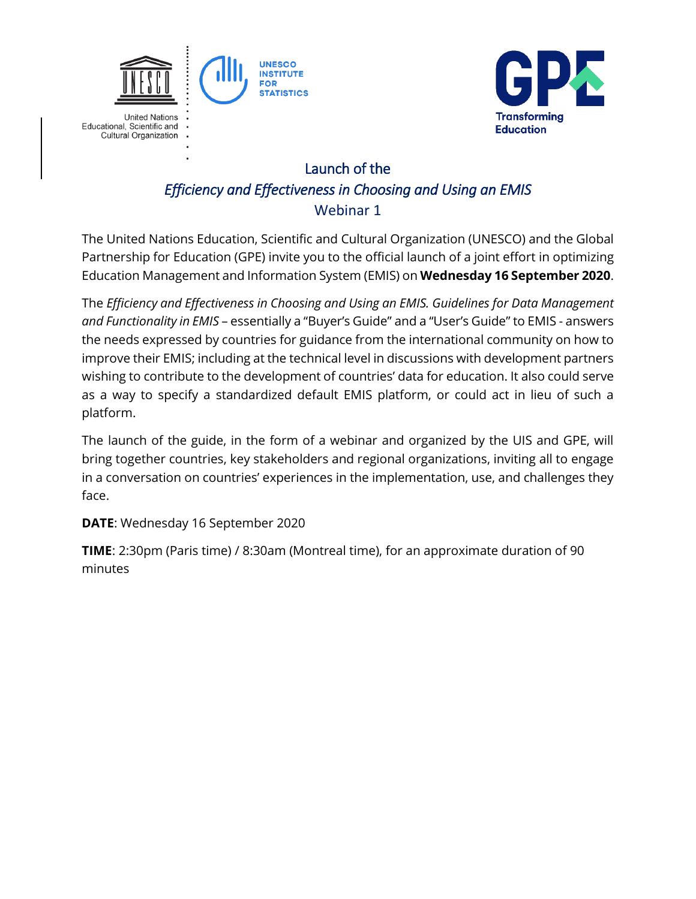



## Launch of the *Efficiency and Effectiveness in Choosing and Using an EMIS* Webinar 1

The United Nations Education, Scientific and Cultural Organization (UNESCO) and the Global Partnership for Education (GPE) invite you to the official launch of a joint effort in optimizing Education Management and Information System (EMIS) on **Wednesday 16 September 2020**.

The *Efficiency and Effectiveness in Choosing and Using an EMIS. Guidelines for Data Management and Functionality in EMIS* – essentially a "Buyer's Guide" and a "User's Guide" to EMIS - answers the needs expressed by countries for guidance from the international community on how to improve their EMIS; including at the technical level in discussions with development partners wishing to contribute to the development of countries' data for education. It also could serve as a way to specify a standardized default EMIS platform, or could act in lieu of such a platform.

The launch of the guide, in the form of a webinar and organized by the UIS and GPE, will bring together countries, key stakeholders and regional organizations, inviting all to engage in a conversation on countries' experiences in the implementation, use, and challenges they face.

## **DATE**: Wednesday 16 September 2020

**TIME**: 2:30pm (Paris time) / 8:30am (Montreal time), for an approximate duration of 90 minutes